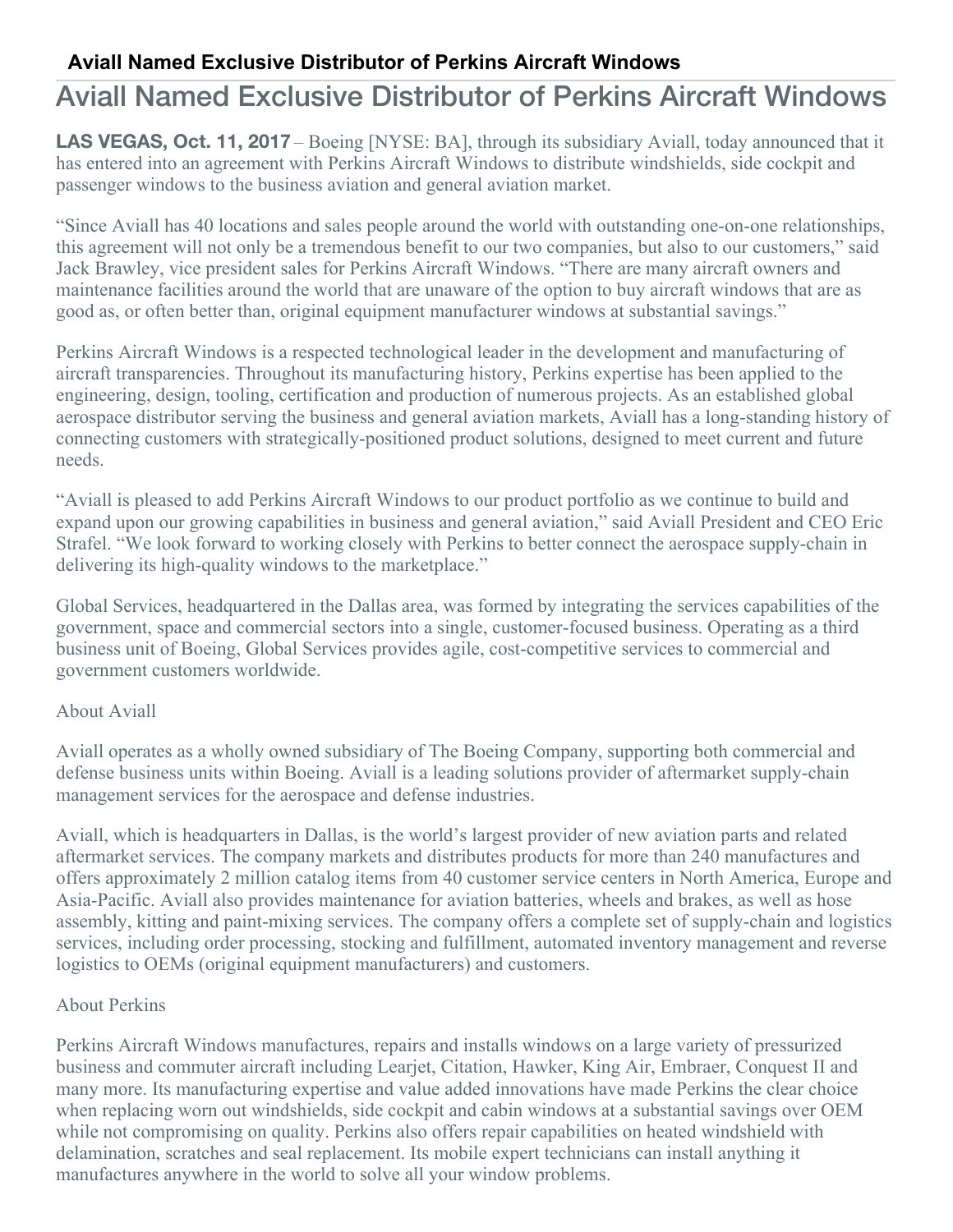## **Aviall Named Exclusive Distributor of Perkins Aircraft Windows**

# Aviall Named Exclusive Distributor of Perkins Aircraft Windows

**LAS VEGAS, Oct. 11, 2017** – Boeing [NYSE: BA], through its subsidiary Aviall, today announced that it has entered into an agreement with Perkins Aircraft Windows to distribute windshields, side cockpit and passenger windows to the business aviation and general aviation market.

"Since Aviall has 40 locations and sales people around the world with outstanding one-on-one relationships, this agreement will not only be a tremendous benefit to our two companies, but also to our customers," said Jack Brawley, vice president sales for Perkins Aircraft Windows. "There are many aircraft owners and maintenance facilities around the world that are unaware of the option to buy aircraft windows that are as good as, or often better than, original equipment manufacturer windows at substantial savings."

Perkins Aircraft Windows is a respected technological leader in the development and manufacturing of aircraft transparencies. Throughout its manufacturing history, Perkins expertise has been applied to the engineering, design, tooling, certification and production of numerous projects. As an established global aerospace distributor serving the business and general aviation markets, Aviall has a long-standing history of connecting customers with strategically-positioned product solutions, designed to meet current and future needs.

"Aviall is pleased to add Perkins Aircraft Windows to our product portfolio as we continue to build and expand upon our growing capabilities in business and general aviation," said Aviall President and CEO Eric Strafel. "We look forward to working closely with Perkins to better connect the aerospace supply-chain in delivering its high-quality windows to the marketplace."

Global Services, headquartered in the Dallas area, was formed by integrating the services capabilities of the government, space and commercial sectors into a single, customer-focused business. Operating as a third business unit of Boeing, Global Services provides agile, cost-competitive services to commercial and government customers worldwide.

### About Aviall

Aviall operates as a wholly owned subsidiary of The Boeing Company, supporting both commercial and defense business units within Boeing. Aviall is a leading solutions provider of aftermarket supply-chain management services for the aerospace and defense industries.

Aviall, which is headquarters in Dallas, is the world's largest provider of new aviation parts and related aftermarket services. The company markets and distributes products for more than 240 manufactures and offers approximately 2 million catalog items from 40 customer service centers in North America, Europe and Asia-Pacific. Aviall also provides maintenance for aviation batteries, wheels and brakes, as well as hose assembly, kitting and paint-mixing services. The company offers a complete set of supply-chain and logistics services, including order processing, stocking and fulfillment, automated inventory management and reverse logistics to OEMs (original equipment manufacturers) and customers.

### About Perkins

Perkins Aircraft Windows manufactures, repairs and installs windows on a large variety of pressurized business and commuter aircraft including Learjet, Citation, Hawker, King Air, Embraer, Conquest II and many more. Its manufacturing expertise and value added innovations have made Perkins the clear choice when replacing worn out windshields, side cockpit and cabin windows at a substantial savings over OEM while not compromising on quality. Perkins also offers repair capabilities on heated windshield with delamination, scratches and seal replacement. Its mobile expert technicians can install anything it manufactures anywhere in the world to solve all your window problems.